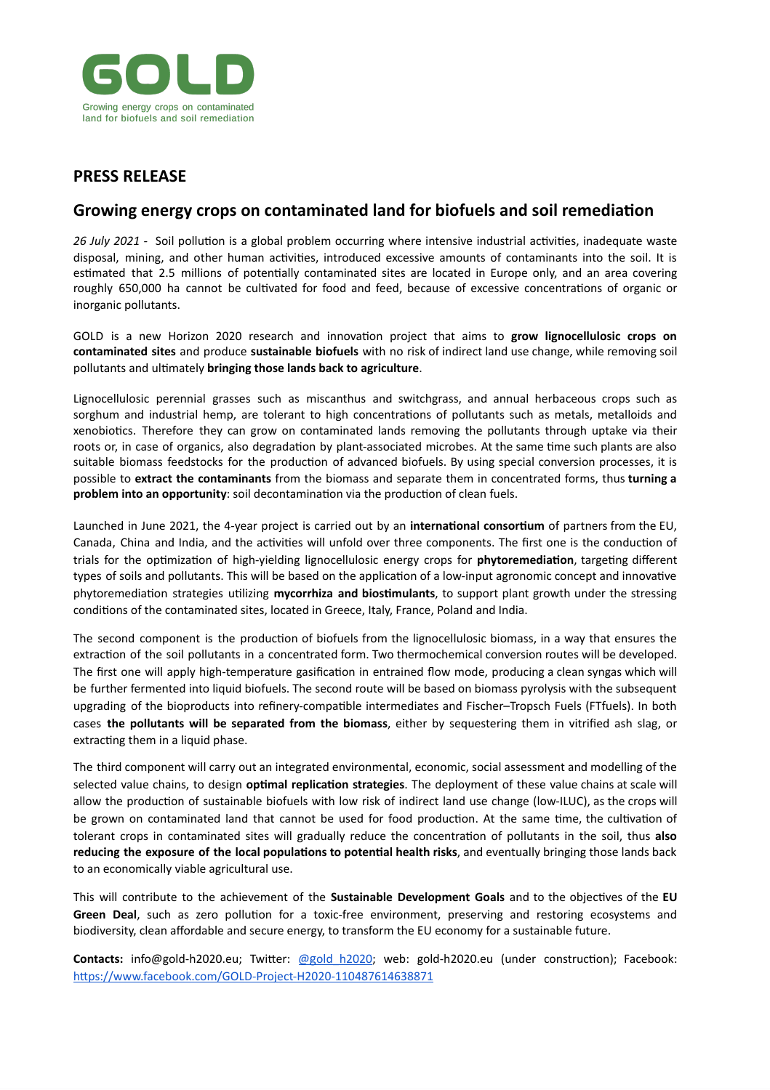

## **PRESS RELEASE**

## **Growing energy crops on contaminated land for biofuels and soil remediation**

*26 July 2021 -* Soil pollution is a global problem occurring where intensive industrial activities, inadequate waste disposal, mining, and other human activities, introduced excessive amounts of contaminants into the soil. It is estimated that 2.5 millions of potentially contaminated sites are located in Europe only, and an area covering roughly 650,000 ha cannot be cultivated for food and feed, because of excessive concentrations of organic or inorganic pollutants.

GOLD is a new Horizon 2020 research and innovation project that aims to **grow lignocellulosic crops on contaminated sites** and produce **sustainable biofuels** with no risk of indirect land use change, while removing soil pollutants and ultimately **bringing those lands back to agriculture**.

Lignocellulosic perennial grasses such as miscanthus and switchgrass, and annual herbaceous crops such as sorghum and industrial hemp, are tolerant to high concentrations of pollutants such as metals, metalloids and xenobiotics. Therefore they can grow on contaminated lands removing the pollutants through uptake via their roots or, in case of organics, also degradation by plant-associated microbes. At the same time such plants are also suitable biomass feedstocks for the production of advanced biofuels. By using special conversion processes, it is possible to **extract the contaminants** from the biomass and separate them in concentrated forms, thus **turning a problem into an opportunity**: soil decontamination via the production of clean fuels.

Launched in June 2021, the 4-year project is carried out by an **international consortium** of partners from the EU, Canada, China and India, and the activities will unfold over three components. The first one is the conduction of trials for the optimization of high-yielding lignocellulosic energy crops for **phytoremediation**, targeting different types of soils and pollutants. This will be based on the application of a low-input agronomic concept and innovative phytoremediation strategies utilizing **mycorrhiza and biostimulants**, to support plant growth under the stressing conditions of the contaminated sites, located in Greece, Italy, France, Poland and India.

The second component is the production of biofuels from the lignocellulosic biomass, in a way that ensures the extraction of the soil pollutants in a concentrated form. Two thermochemical conversion routes will be developed. The first one will apply high-temperature gasification in entrained flow mode, producing a clean syngas which will be further fermented into liquid biofuels. The second route will be based on biomass pyrolysis with the subsequent upgrading of the bioproducts into refinery-compatible intermediates and Fischer–Tropsch Fuels (FTfuels). In both cases **the pollutants will be separated from the biomass**, either by sequestering them in vitrified ash slag, or extracting them in a liquid phase.

The third component will carry out an integrated environmental, economic, social assessment and modelling of the selected value chains, to design **optimal replication strategies**. The deployment of these value chains at scale will allow the production of sustainable biofuels with low risk of indirect land use change (low-ILUC), as the crops will be grown on contaminated land that cannot be used for food production. At the same time, the cultivation of tolerant crops in contaminated sites will gradually reduce the concentration of pollutants in the soil, thus **also reducing the exposure of the local populations to potential health risks**, and eventually bringing those lands back to an economically viable agricultural use.

This will contribute to the achievement of the **Sustainable Development Goals** and to the objectives of the **EU Green Deal**, such as zero pollution for a toxic-free environment, preserving and restoring ecosystems and biodiversity, clean affordable and secure energy, to transform the EU economy for a sustainable future.

**Contacts:** info@gold-h2020.eu; Twitter: [@](https://twitter.com/gold_h2020)[g](https://twitter.com/gold_h2020)[old\\_h2020;](https://twitter.com/gold_h2020) web: gold-h2020.eu (under construction); Facebook: <https://www.facebook.com/GOLD-Project-H2020-110487614638871>